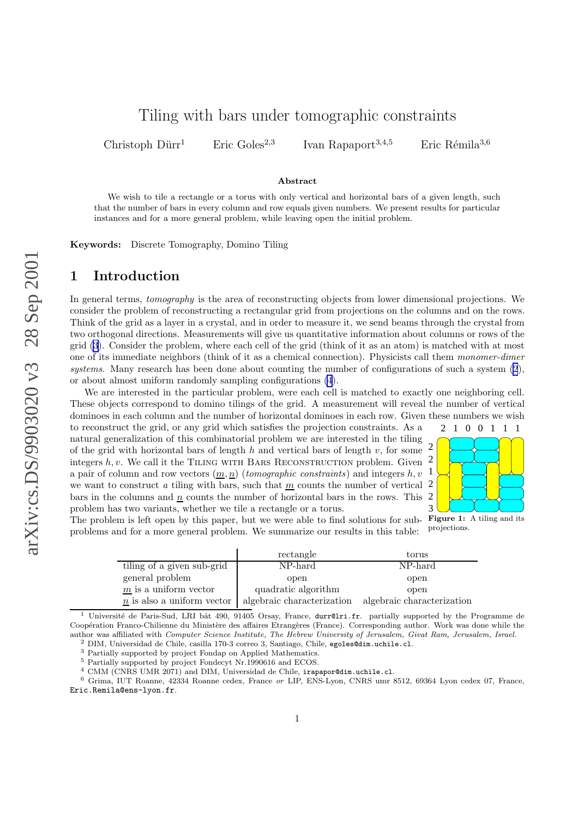# Tiling with bars under tomographic constraints

 $Christoph$  Dürr<sup>1</sup> <sup>1</sup> Eric Goles<sup>2,3</sup> Ivan Rapaport<sup>3,4,</sup> <sup>5</sup> Eric Rémila<sup>3,6</sup>

#### Abstract

We wish to tile a rectangle or a torus with only vertical and horizontal bars of a given length, such that the number of bars in every column and row equals given numbers. We present results for particular instances and for a more general problem, while leaving open the initial problem.

Keywords: Discrete Tomography, Domino Tiling

### 1 Introduction

In general terms, tomography is the area of reconstructing objects from lower dimensional projections. We consider the problem of reconstructing a rectangular grid from projections on the columns and on the rows. Think of the grid as a layer in a crystal, and in order to measure it, we send beams through the crystal from two orthogonal directions. Measurements will give us quantitative information about columns or rows of the grid [\(3](#page-9-0)). Consider the problem, where each cell of the grid (think of it as an atom) is matched with at most one of its immediate neighbors (think of it as a chemical connection). Physicists call them monomer-dimer systems. Many research has been done about counting the number of configurations of such a system  $(2)$  $(2)$ , or about almost uniform randomly sampling configurations [\(4](#page-9-0)).

We are interested in the particular problem, were each cell is matched to exactly one neighboring cell. These objects correspond to domino tilings of the grid. A measurement will reveal the number of vertical dominoes in each column and the number of horizontal dominoes in each row. Given these numbers we wish

to reconstruct the grid, or any grid which satisfies the projection constraints. As a natural generalization of this combinatorial problem we are interested in the tiling of the grid with horizontal bars of length  $h$  and vertical bars of length  $v$ , for some integers  $h, v$ . We call it the TILING WITH BARS RECONSTRUCTION problem. Given  $2$ a pair of column and row vectors  $(\underline{m}, \underline{n})$  (*tomographic constraints*) and integers h, v we want to construct a tiling with bars, such that  $\underline{m}$  counts the number of vertical bars in the columns and  $\underline{n}$  counts the number of horizontal bars in the rows. This problem has two variants, whether we tile a rectangle or a torus.



projections.

The problem is left open by this paper, but we were able to find solutions for sub- Figure 1: A tiling and its problems and for a more general problem. We summarize our results in this table:

|                                                           | rectangle           | torus                      |
|-----------------------------------------------------------|---------------------|----------------------------|
| tiling of a given sub-grid                                | NP-hard             | NP-hard                    |
| general problem                                           | open                | open                       |
| $m$ is a uniform vector                                   | quadratic algorithm | open                       |
| $n$ is also a uniform vector   algebraic characterization |                     | algebraic characterization |

<sup>&</sup>lt;sup>1</sup> Université de Paris-Sud, LRI bât 490, 91405 Orsay, France, durr@lri.fr. partially supported by the Programme de Coopération Franco-Chilienne du Ministère des affaires Etrangères (France). Corresponding author. Work was done while the % author was affiliated with *Computer Science Institute, The Hebrew University of Jerusalem, Givat Ram, Jerusalem, Israel.*  $^{2}$  DIM, Universidad de Chile, casilla 170-3 correo 3, Santiago, Chile, egoles@dim.uchile.cl.<br>

Eric.Remila@ens-lyon.fr .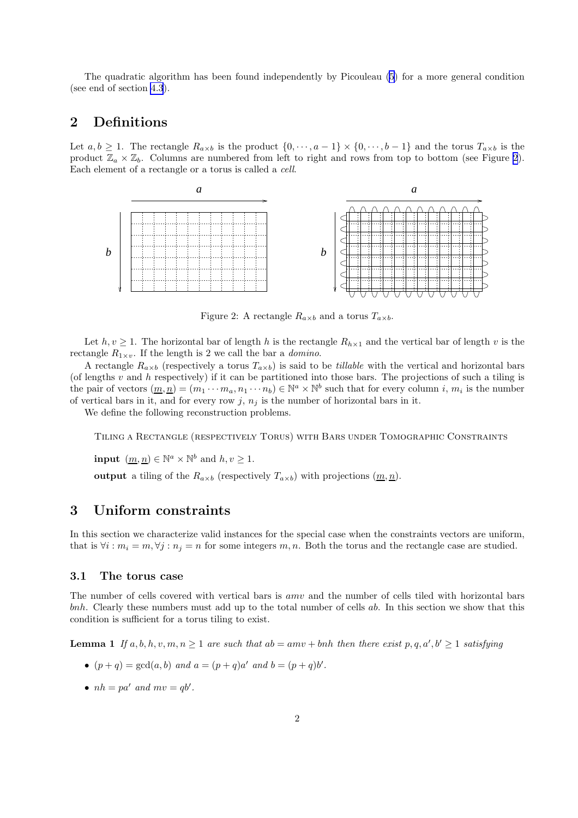<span id="page-1-0"></span>The quadratic algorithm has been found independently by Picouleau ([5\)](#page-9-0) for a more general condition (see end of section [4.3](#page-5-0)).

### 2 Definitions

Let  $a, b \ge 1$ . The rectangle  $R_{a \times b}$  is the product  $\{0, \dots, a-1\} \times \{0, \dots, b-1\}$  and the torus  $T_{a \times b}$  is the product  $\mathbb{Z}_a \times \mathbb{Z}_b$ . Columns are numbered from left to right and rows from top to bottom (see Figure 2). Each element of a rectangle or a torus is called a cell.



Figure 2: A rectangle  $R_{a\times b}$  and a torus  $T_{a\times b}$ .

Let  $h, v \geq 1$ . The horizontal bar of length h is the rectangle  $R_{h \times 1}$  and the vertical bar of length v is the rectangle  $R_{1\times v}$ . If the length is 2 we call the bar a *domino*.

A rectangle  $R_{a\times b}$  (respectively a torus  $T_{a\times b}$ ) is said to be *tillable* with the vertical and horizontal bars (of lengths  $v$  and  $h$  respectively) if it can be partitioned into those bars. The projections of such a tiling is the pair of vectors  $(\underline{m}, \underline{n}) = (m_1 \cdots m_a, n_1 \cdots n_b) \in \mathbb{N}^a \times \mathbb{N}^b$  such that for every column i,  $m_i$  is the number of vertical bars in it, and for every row j,  $n<sub>i</sub>$  is the number of horizontal bars in it.

We define the following reconstruction problems.

Tiling a Rectangle (respectively Torus) with Bars under Tomographic Constraints

**input**  $(m, n) \in \mathbb{N}^a \times \mathbb{N}^b$  and  $h, v \ge 1$ .

output a tiling of the  $R_{a\times b}$  (respectively  $T_{a\times b}$ ) with projections  $(m, n)$ .

### 3 Uniform constraints

In this section we characterize valid instances for the special case when the constraints vectors are uniform, that is  $\forall i : m_i = m, \forall j : n_j = n$  for some integers m, n. Both the torus and the rectangle case are studied.

### 3.1 The torus case

The number of cells covered with vertical bars is amv and the number of cells tiled with horizontal bars bnh. Clearly these numbers must add up to the total number of cells ab. In this section we show that this condition is sufficient for a torus tiling to exist.

**Lemma 1** If  $a, b, h, v, m, n \ge 1$  are such that  $ab = amv + bnh$  then there exist  $p, q, a', b' \ge 1$  satisfying

- $(p+q) = \gcd(a, b)$  and  $a = (p+q)a'$  and  $b = (p+q)b'.$
- $nh = pa'$  and  $mv = qb'.$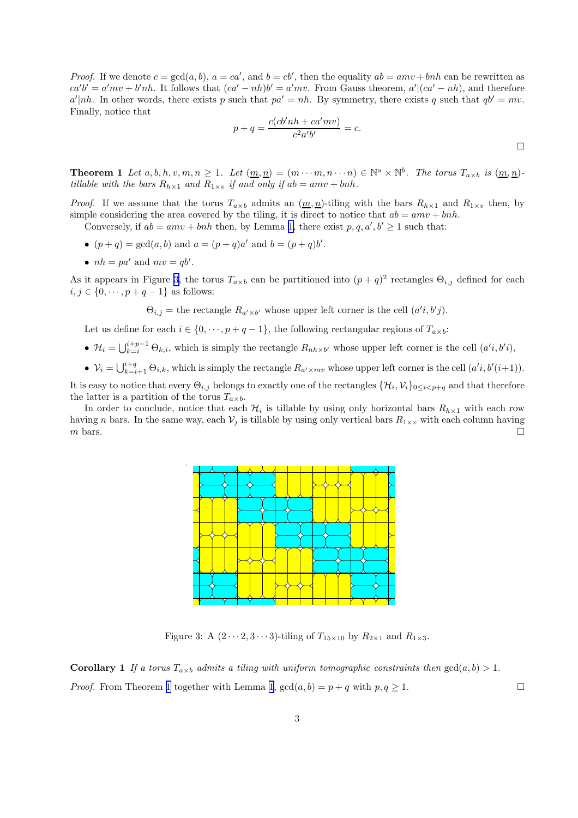<span id="page-2-0"></span>*Proof.* If we denote  $c = \gcd(a, b)$ ,  $a = ca'$ , and  $b = cb'$ , then the equality  $ab = amv + bnh$  can be rewritten as  $ca'b' = a'mv + b'nh$ . It follows that  $(ca' - nh)b' = a'mv$ . From Gauss theorem,  $a'|(ca' - nh)$ , and therefore  $a'|nh$ . In other words, there exists p such that  $pa' = nh$ . By symmetry, there exists q such that  $qb' = mv$ . Finally, notice that

$$
p + q = \frac{c(c^{b'}nh + ca'mv)}{c^2a'b'} = c.
$$

**Theorem 1** Let  $a, b, h, v, m, n \ge 1$ . Let  $(\underline{m}, \underline{n}) = (m \cdots m, n \cdots n) \in \mathbb{N}^a \times \mathbb{N}^b$ . The torus  $T_{a \times b}$  is  $(\underline{m}, \underline{n})$ tillable with the bars  $R_{h\times 1}$  and  $R_{1\times v}$  if and only if  $ab = amv + bnh$ .

*Proof.* If we assume that the torus  $T_{a \times b}$  admits an  $(\underline{m}, \underline{n})$ -tiling with the bars  $R_{h \times 1}$  and  $R_{1 \times v}$  then, by simple considering the area covered by the tiling, it is direct to notice that  $ab = amv + bnh$ .

Conversely, if  $ab = amv + bnh$  then, by Lemma [1,](#page-1-0) there exist  $p, q, a', b' \ge 1$  such that:

- $(p+q) = \gcd(a, b)$  and  $a = (p+q)a'$  and  $b = (p+q)b'.$
- $nh = pa'$  and  $mv = qb'$ .

As it appears in Figure 3, the torus  $T_{a \times b}$  can be partitioned into  $(p+q)^2$  rectangles  $\Theta_{i,j}$  defined for each  $i, j \in \{0, \dots, p+q-1\}$  as follows:

 $\Theta_{i,j}$  = the rectangle  $R_{a' \times b'}$  whose upper left corner is the cell  $(a'i, b'j)$ .

Let us define for each  $i \in \{0, \dots, p+q-1\}$ , the following rectangular regions of  $T_{a \times b}$ :

- $\mathcal{H}_i = \bigcup_{k=i}^{i+p-1} \Theta_{k,i}$ , which is simply the rectangle  $R_{nh \times b'}$  whose upper left corner is the cell  $(a'i, b'i)$ ,
- $V_i = \bigcup_{k=i+1}^{i+q} \Theta_{i,k}$ , which is simply the rectangle  $R_{a' \times mv}$  whose upper left corner is the cell  $(a'i, b'(i+1))$ .

It is easy to notice that every  $\Theta_{i,j}$  belongs to exactly one of the rectangles  $\{\mathcal{H}_i,\mathcal{V}_i\}_{0\leq i and that therefore$ the latter is a partition of the torus  $T_{a \times b}$ .

In order to conclude, notice that each  $\mathcal{H}_i$  is tillable by using only horizontal bars  $R_{h\times 1}$  with each row having n bars. In the same way, each  $V_i$  is tillable by using only vertical bars  $R_{1\times v}$  with each column having m bars.  $\square$ 



Figure 3: A  $(2 \cdots 2, 3 \cdots 3)$ -tiling of  $T_{15 \times 10}$  by  $R_{2 \times 1}$  and  $R_{1 \times 3}$ .

**Corollary 1** If a torus  $T_{a\times b}$  admits a tiling with uniform tomographic constraints then  $gcd(a, b) > 1$ . *Proof.* From Theorem 1 together with Lemma [1,](#page-1-0)  $gcd(a, b) = p + q$  with  $p, q \ge 1$ .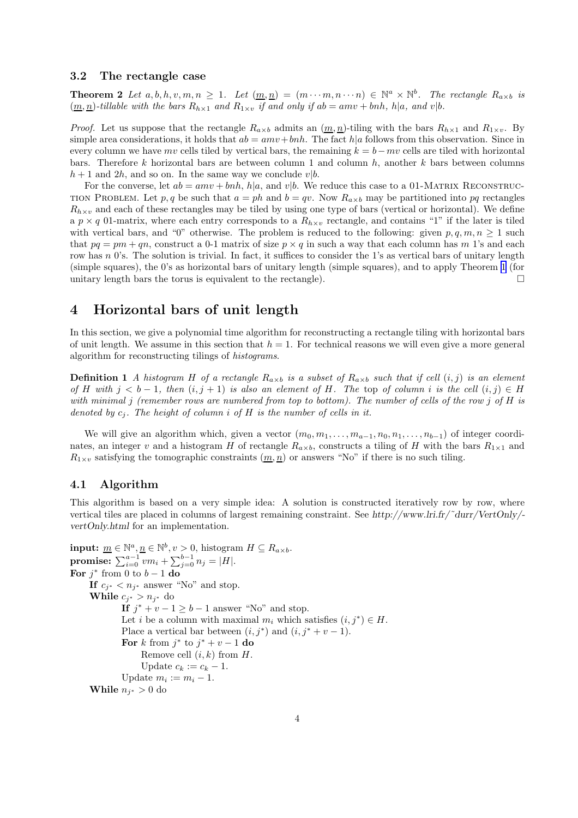#### <span id="page-3-0"></span>3.2 The rectangle case

**Theorem 2** Let  $a, b, h, v, m, n \ge 1$ . Let  $(\underline{m}, \underline{n}) = (m \cdots m, n \cdots n) \in \mathbb{N}^a \times \mathbb{N}^b$ . The rectangle  $R_{a \times b}$  is  $(\underline{m}, \underline{n})$ -tillable with the bars  $R_{h \times 1}$  and  $R_{1 \times v}$  if and only if ab = amv + bnh, h|a, and v|b.

*Proof.* Let us suppose that the rectangle  $R_{a\times b}$  admits an  $(\underline{m}, \underline{n})$ -tiling with the bars  $R_{h\times 1}$  and  $R_{1\times v}$ . By simple area considerations, it holds that  $ab = amv + bnh$ . The fact h|a follows from this observation. Since in every column we have  $mv$  cells tiled by vertical bars, the remaining  $k = b - mv$  cells are tiled with horizontal bars. Therefore k horizontal bars are between column 1 and column  $h$ , another k bars between columns  $h + 1$  and 2h, and so on. In the same way we conclude  $v|b$ .

For the converse, let  $ab = amv + bnh$ ,  $h|a$ , and  $v|b$ . We reduce this case to a 01-MATRIX RECONSTRUC-TION PROBLEM. Let p, q be such that  $a = ph$  and  $b = qv$ . Now  $R_{a \times b}$  may be partitioned into pq rectangles  $R_{h \times v}$  and each of these rectangles may be tiled by using one type of bars (vertical or horizontal). We define a  $p \times q$  01-matrix, where each entry corresponds to a  $R_{h \times v}$  rectangle, and contains "1" if the later is tiled with vertical bars, and "0" otherwise. The problem is reduced to the following: given  $p, q, m, n \ge 1$  such that  $pq = pm + qn$ , construct a 0-1 matrix of size  $p \times q$  in such a way that each column has m 1's and each row has n 0's. The solution is trivial. In fact, it suffices to consider the 1's as vertical bars of unitary length (simple squares), the 0's as horizontal bars of unitary length (simple squares), and to apply Theorem [1](#page-2-0) (for unitary length bars the torus is equivalent to the rectangle).  $\Box$ 

### 4 Horizontal bars of unit length

In this section, we give a polynomial time algorithm for reconstructing a rectangle tiling with horizontal bars of unit length. We assume in this section that  $h = 1$ . For technical reasons we will even give a more general algorithm for reconstructing tilings of histograms.

**Definition 1** A histogram H of a rectangle  $R_{a\times b}$  is a subset of  $R_{a\times b}$  such that if cell  $(i, j)$  is an element of H with  $j < b-1$ , then  $(i, j+1)$  is also an element of H. The top of column i is the cell  $(i,j) \in H$ with minimal j (remember rows are numbered from top to bottom). The number of cells of the row j of  $H$  is denoted by  $c_i$ . The height of column i of H is the number of cells in it.

We will give an algorithm which, given a vector  $(m_0, m_1, \ldots, m_{a-1}, n_0, n_1, \ldots, n_{b-1})$  of integer coordinates, an integer v and a histogram H of rectangle  $R_{a\times b}$ , constructs a tiling of H with the bars  $R_{1\times 1}$  and  $R_{1\times v}$  satisfying the tomographic constraints  $(m, n)$  or answers "No" if there is no such tiling.

#### 4.1 Algorithm

This algorithm is based on a very simple idea: A solution is constructed iteratively row by row, where vertical tiles are placed in columns of largest remaining constraint. See http://www.lri.fr/˜durr/VertOnly/ vertOnly.html for an implementation.

```
input: \underline{m} \in \mathbb{N}^a, \underline{n} \in \mathbb{N}^b, v > 0, histogram H \subseteq R_{a \times b}.
\textbf{promise: } \sum_{i=0}^{a-1}vm_i + \sum_{j=0}^{b-1}n_j = |H|.For j^* from 0 to b-1 do
     If c_{j^*} < n_{j^*} answer "No" and stop.
     While c_{j^*} > n_{j^*} do
               If j^* + v - 1 \ge b - 1 answer "No" and stop.
               Let i be a column with maximal m_i which satisfies (i, j^*) \in H.
               Place a vertical bar between (i, j^*) and (i, j^* + v - 1).
               For k from j^* to j^* + v - 1 do
                     Remove cell (i, k) from H.
                     Update c_k := c_k - 1.
               Update m_i := m_i - 1.
     While n_{j^*} > 0 do
```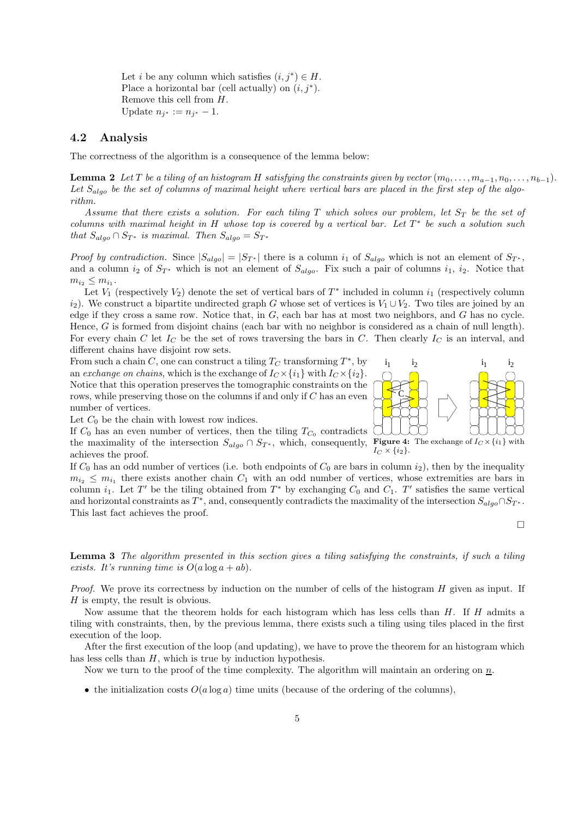<span id="page-4-0"></span>Let *i* be any column which satisfies  $(i, j^*) \in H$ . Place a horizontal bar (cell actually) on  $(i, j^*)$ . Remove this cell from  $H$ . Update  $n_{j^*} := n_{j^*} - 1$ .

#### 4.2 Analysis

The correctness of the algorithm is a consequence of the lemma below:

**Lemma 2** Let T be a tiling of an histogram H satisfying the constraints given by vector  $(m_0, \ldots, m_{a-1}, n_0, \ldots, n_{b-1})$ . Let  $S_{algo}$  be the set of columns of maximal height where vertical bars are placed in the first step of the algorithm.

Assume that there exists a solution. For each tiling T which solves our problem, let  $S_T$  be the set of columns with maximal height in  $H$  whose top is covered by a vertical bar. Let  $T^*$  be such a solution such that  $S_{a l q o} \cap S_{T^*}$  is maximal. Then  $S_{a l q o} = S_{T^*}$ 

*Proof by contradiction.* Since  $|S_{algo}| = |S_{T^*}|$  there is a column  $i_1$  of  $S_{algo}$  which is not an element of  $S_{T^*}$ , and a column  $i_2$  of  $S_{T^*}$  which is not an element of  $S_{algo}$ . Fix such a pair of columns  $i_1$ ,  $i_2$ . Notice that  $m_{i_2} \leq m_{i_1}.$ 

Let  $V_1$  (respectively  $V_2$ ) denote the set of vertical bars of  $T^*$  included in column  $i_1$  (respectively column  $i_2$ ). We construct a bipartite undirected graph G whose set of vertices is  $V_1 \cup V_2$ . Two tiles are joined by an edge if they cross a same row. Notice that, in  $G$ , each bar has at most two neighbors, and  $G$  has no cycle. Hence, G is formed from disjoint chains (each bar with no neighbor is considered as a chain of null length). For every chain C let  $I_C$  be the set of rows traversing the bars in C. Then clearly  $I_C$  is an interval, and different chains have disjoint row sets.

From such a chain C, one can construct a tiling  $T_C$  transforming  $T^*$ , by an exchange on chains, which is the exchange of  $I_C \times \{i_1\}$  with  $I_C \times \{i_2\}$ . Notice that this operation preserves the tomographic constraints on the rows, while preserving those on the columns if and only if C has an even number of vertices.



If  $C_0$  has an even number of vertices, then the tiling  $T_{C_0}$  contradicts the maximality of the intersection  $S_{algo} \cap S_{T^*}$ , which, consequently, **Figure 4:** The exchange of  $I_C \times \{i_1\}$  with achieves the proof.

If  $C_0$  has an odd number of vertices (i.e. both endpoints of  $C_0$  are bars in column  $i_2$ ), then by the inequality  $m_{i_2} \leq m_{i_1}$  there exists another chain  $C_1$  with an odd number of vertices, whose extremities are bars in column  $i_1$ . Let T' be the tiling obtained from T<sup>\*</sup> by exchanging  $C_0$  and  $C_1$ . T' satisfies the same vertical and horizontal constraints as  $T^*$ , and, consequently contradicts the maximality of the intersection  $S_{algo} \cap S_{T^*}$ . This last fact achieves the proof.

 $\Box$ 

Lemma 3 The algorithm presented in this section gives a tiling satisfying the constraints, if such a tiling exists. It's running time is  $O(a \log a + ab)$ .

Proof. We prove its correctness by induction on the number of cells of the histogram H given as input. If H is empty, the result is obvious.

Now assume that the theorem holds for each histogram which has less cells than  $H$ . If  $H$  admits a tiling with constraints, then, by the previous lemma, there exists such a tiling using tiles placed in the first execution of the loop.

After the first execution of the loop (and updating), we have to prove the theorem for an histogram which has less cells than  $H$ , which is true by induction hypothesis.

Now we turn to the proof of the time complexity. The algorithm will maintain an ordering on  $\underline{n}$ .

• the initialization costs  $O(a \log a)$  time units (because of the ordering of the columns),



 $I_C \times \{i_2\}.$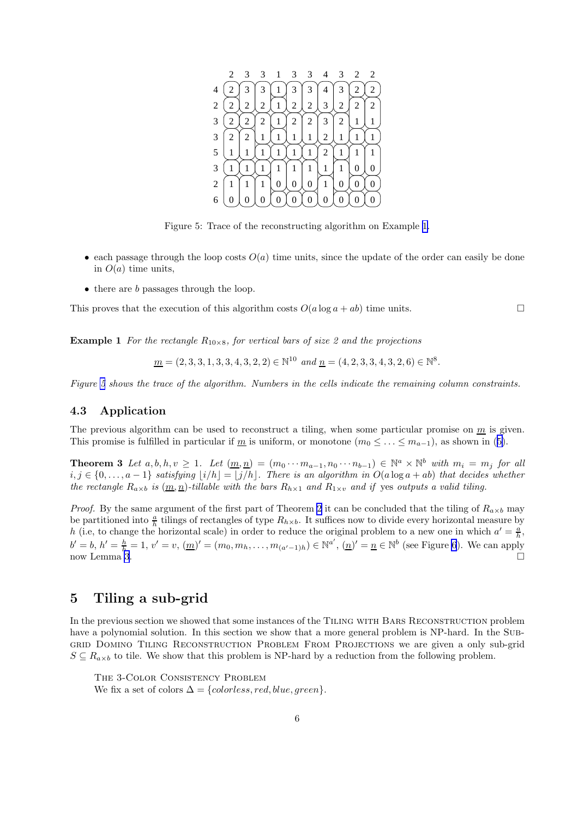<span id="page-5-0"></span>

Figure 5: Trace of the reconstructing algorithm on Example 1.

- each passage through the loop costs  $O(a)$  time units, since the update of the order can easily be done in  $O(a)$  time units,
- there are *b* passages through the loop.

This proves that the execution of this algorithm costs  $O(a \log a + ab)$  time units.

**Example 1** For the rectangle  $R_{10\times8}$ , for vertical bars of size 2 and the projections

$$
\underline{m} = (2, 3, 3, 1, 3, 3, 4, 3, 2, 2) \in \mathbb{N}^{10} \text{ and } \underline{n} = (4, 2, 3, 3, 4, 3, 2, 6) \in \mathbb{N}^{8}.
$$

Figure 5 shows the trace of the algorithm. Numbers in the cells indicate the remaining column constraints.

#### 4.3 Application

The previous algorithm can be used to reconstruct a tiling, when some particular promise on  $\underline{m}$  is given. This promise is fulfilled in particular if m is uniform, or monotone  $(m_0 \leq \ldots \leq m_{a-1})$ , as shown in ([5\)](#page-9-0).

**Theorem 3** Let  $a, b, h, v \ge 1$ . Let  $(\underline{m}, \underline{n}) = (m_0 \cdots m_{a-1}, n_0 \cdots n_{b-1}) \in \mathbb{N}^a \times \mathbb{N}^b$  with  $m_i = m_j$  for all  $i, j \in \{0, \ldots, a-1\}$  satisfying  $|i/h| = |j/h|$ . There is an algorithm in  $O(a \log a + ab)$  that decides whether the rectangle  $R_{a\times b}$  is  $(\underline{m}, \underline{n})$ -tillable with the bars  $R_{h\times 1}$  and  $R_{1\times v}$  and if yes outputs a valid tiling.

*Proof.* By the same argument of the first part of Theorem [2](#page-3-0) it can be concluded that the tiling of  $R_{a\times b}$  may be partitioned into  $\frac{a}{h}$  tilings of rectangles of type  $R_{h \times b}$ . It suffices now to divide every horizontal measure by h (i.e, to change the horizontal scale) in order to reduce the original problem to a new one in which  $a' = \frac{a}{h}$ ,  $b' = b, h' = \frac{h}{h} = 1, v' = v, (\underline{m})' = (m_0, m_h, \dots, m_{(a'-1)h}) \in \mathbb{N}^{a'}, (\underline{n})' = \underline{n} \in \mathbb{N}^b$  (see Figure [6](#page-6-0)). We can apply  $\sum_{n=1}^{\infty}$  1.  $\sum_{n=1}^{\infty}$  1.  $\sum_{n=1}^{\infty}$  1.  $\sum_{n=1}^{\infty}$  1.  $\sum_{n=1}^{\infty}$ 

### 5 Tiling a sub-grid

In the previous section we showed that some instances of the TILING WITH BARS RECONSTRUCTION problem have a polynomial solution. In this section we show that a more general problem is NP-hard. In the Subgrid Domino Tiling Reconstruction Problem From Projections we are given a only sub-grid  $S \subseteq R_{a \times b}$  to tile. We show that this problem is NP-hard by a reduction from the following problem.

The 3-Color Consistency Problem We fix a set of colors  $\Delta = \{colorless, red, blue, green\}.$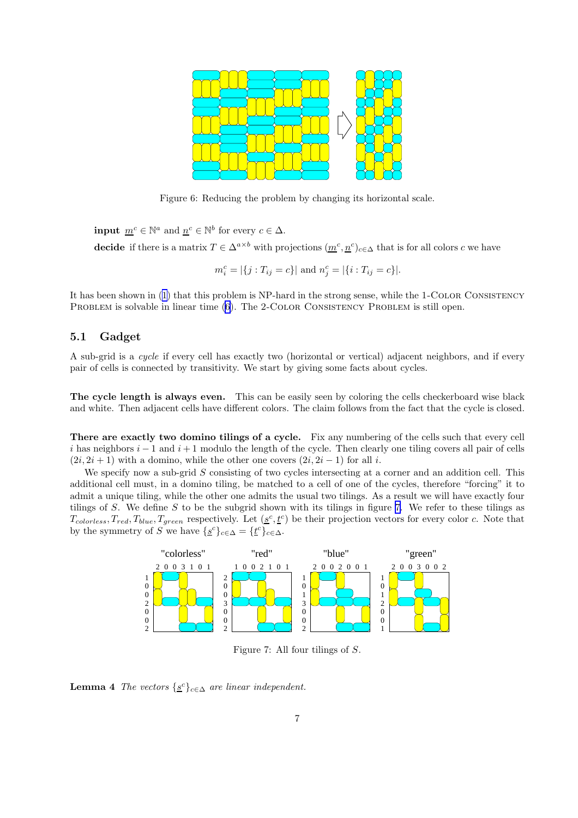<span id="page-6-0"></span>

Figure 6: Reducing the problem by changing its horizontal scale.

**input**  $\underline{m}^c \in \mathbb{N}^a$  and  $\underline{n}^c \in \mathbb{N}^b$  for every  $c \in \Delta$ .

decide if there is a matrix  $T \in \Delta^{a \times b}$  with projections  $(\underline{m}^c, \underline{n}^c)_{c \in \Delta}$  that is for all colors c we have

$$
m_i^c = |\{j : T_{ij} = c\}|
$$
 and  $n_j^c = |\{i : T_{ij} = c\}|$ .

It has been shown in ([1\)](#page-9-0) that this problem is NP-hard in the strong sense, while the 1-Color Consistency PROBLEM is solvable in linear time [\(6](#page-9-0)). The 2-COLOR CONSISTENCY PROBLEM is still open.

### 5.1 Gadget

A sub-grid is a cycle if every cell has exactly two (horizontal or vertical) adjacent neighbors, and if every pair of cells is connected by transitivity. We start by giving some facts about cycles.

The cycle length is always even. This can be easily seen by coloring the cells checkerboard wise black and white. Then adjacent cells have different colors. The claim follows from the fact that the cycle is closed.

There are exactly two domino tilings of a cycle. Fix any numbering of the cells such that every cell i has neighbors  $i - 1$  and  $i + 1$  modulo the length of the cycle. Then clearly one tiling covers all pair of cells  $(2i, 2i + 1)$  with a domino, while the other one covers  $(2i, 2i - 1)$  for all i.

We specify now a sub-grid  $S$  consisting of two cycles intersecting at a corner and an addition cell. This additional cell must, in a domino tiling, be matched to a cell of one of the cycles, therefore "forcing" it to admit a unique tiling, while the other one admits the usual two tilings. As a result we will have exactly four tilings of S. We define S to be the subgrid shown with its tilings in figure 7. We refer to these tilings as  $T_{colorless}, T_{red}, T_{blue}, T_{green}$  respectively. Let  $(s^c, t^c)$  be their projection vectors for every color c. Note that by the symmetry of S we have  $\{\underline{s}^c\}_{c \in \Delta} = {\underline{t}^c\}_{c \in \Delta}$ .



Figure 7: All four tilings of S.

**Lemma 4** The vectors  $\{s^c\}_{c \in \Delta}$  are linear independent.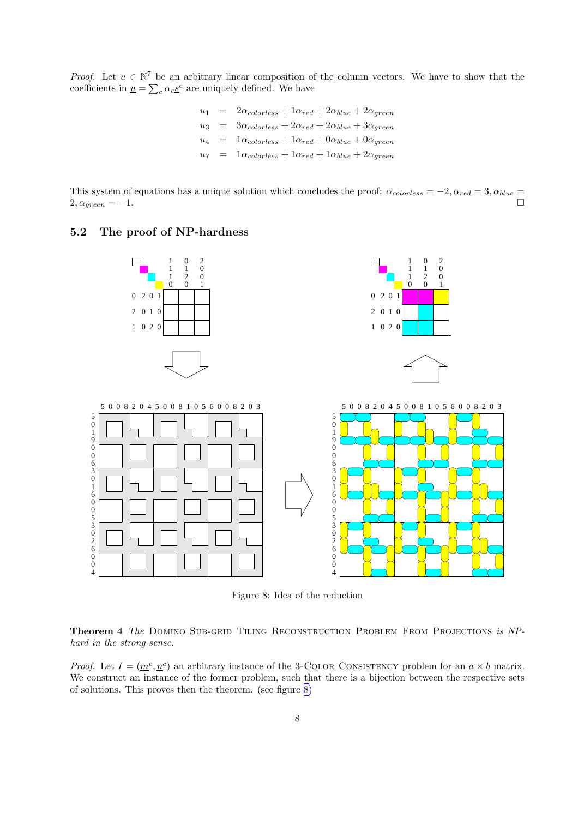*Proof.* Let  $\underline{u} \in \mathbb{N}^7$  be an arbitrary linear composition of the column vectors. We have to show that the coefficients in  $\underline{u} = \sum_c \alpha_c \underline{s}^c$  are uniquely defined. We have

> $u_1 = 2\alpha_{colorless} + 1\alpha_{red} + 2\alpha_{blue} + 2\alpha_{green}$  $u_3 = 3\alpha_{colorless} + 2\alpha_{red} + 2\alpha_{blue} + 3\alpha_{green}$  $u_4 = 1 \alpha_{colorless} + 1 \alpha_{red} + 0 \alpha_{blue} + 0 \alpha_{green}$  $u_7 = 1 \alpha_{colorless} + 1 \alpha_{red} + 1 \alpha_{blue} + 2 \alpha_{green}$

This system of equations has a unique solution which concludes the proof:  $\alpha_{colorless} = -2, \alpha_{red} = 3, \alpha_{blue} =$  $2, \alpha_{green} = -1.$ 

### 5.2 The proof of NP-hardness



Figure 8: Idea of the reduction

Theorem 4 The DOMINO SUB-GRID TILING RECONSTRUCTION PROBLEM FROM PROJECTIONS is NPhard in the strong sense.

*Proof.* Let  $I = (\underline{m}^c, \underline{n}^c)$  an arbitrary instance of the 3-COLOR CONSISTENCY problem for an  $a \times b$  matrix. We construct an instance of the former problem, such that there is a bijection between the respective sets of solutions. This proves then the theorem. (see figure 8)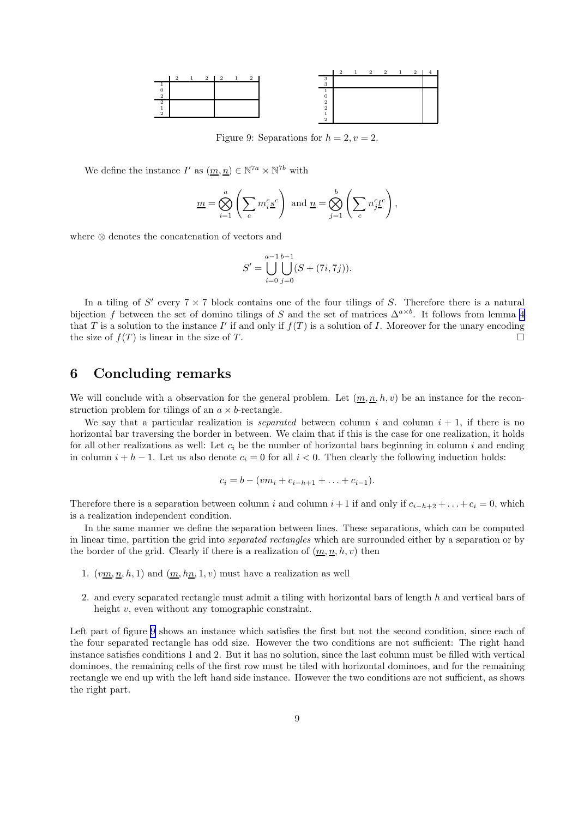

Figure 9: Separations for  $h = 2, v = 2$ .

We define the instance  $I'$  as  $(\underline{m}, \underline{n}) \in \mathbb{N}^{7a} \times \mathbb{N}^{7b}$  with

$$
\underline{m} = \bigotimes_{i=1}^{a} \left( \sum_{c} m_i^c \underline{s}^c \right) \text{ and } \underline{n} = \bigotimes_{j=1}^{b} \left( \sum_{c} n_j^c \underline{t}^c \right),
$$

where ⊗ denotes the concatenation of vectors and

$$
S' = \bigcup_{i=0}^{a-1} \bigcup_{j=0}^{b-1} (S + (7i, 7j)).
$$

In a tiling of  $S'$  every  $7 \times 7$  block contains one of the four tilings of S. Therefore there is a natural bijection f between the set of domino tilings of S and the set of matrices  $\Delta^{a \times b}$ . It follows from lemma [4](#page-6-0) that T is a solution to the instance I' if and only if  $f(T)$  is a solution of I. Moreover for the unary encoding the size of  $f(T)$  is linear in the size of T.

### 6 Concluding remarks

We will conclude with a observation for the general problem. Let  $(m, n, h, v)$  be an instance for the reconstruction problem for tilings of an  $a \times b$ -rectangle.

We say that a particular realization is *separated* between column i and column  $i + 1$ , if there is no horizontal bar traversing the border in between. We claim that if this is the case for one realization, it holds for all other realizations as well: Let  $c_i$  be the number of horizontal bars beginning in column i and ending in column  $i + h - 1$ . Let us also denote  $c_i = 0$  for all  $i < 0$ . Then clearly the following induction holds:

$$
c_i = b - (vm_i + c_{i-h+1} + \ldots + c_{i-1}).
$$

Therefore there is a separation between column i and column i + 1 if and only if  $c_{i-h+2} + \ldots + c_i = 0$ , which is a realization independent condition.

In the same manner we define the separation between lines. These separations, which can be computed in linear time, partition the grid into separated rectangles which are surrounded either by a separation or by the border of the grid. Clearly if there is a realization of  $(\underline{m}, \underline{n}, h, v)$  then

- 1.  $(v_1, n, h, 1)$  and  $(m, h_1, 1, v)$  must have a realization as well
- 2. and every separated rectangle must admit a tiling with horizontal bars of length  $h$  and vertical bars of height  $v$ , even without any tomographic constraint.

Left part of figure 9 shows an instance which satisfies the first but not the second condition, since each of the four separated rectangle has odd size. However the two conditions are not sufficient: The right hand instance satisfies conditions 1 and 2. But it has no solution, since the last column must be filled with vertical dominoes, the remaining cells of the first row must be tiled with horizontal dominoes, and for the remaining rectangle we end up with the left hand side instance. However the two conditions are not sufficient, as shows the right part.